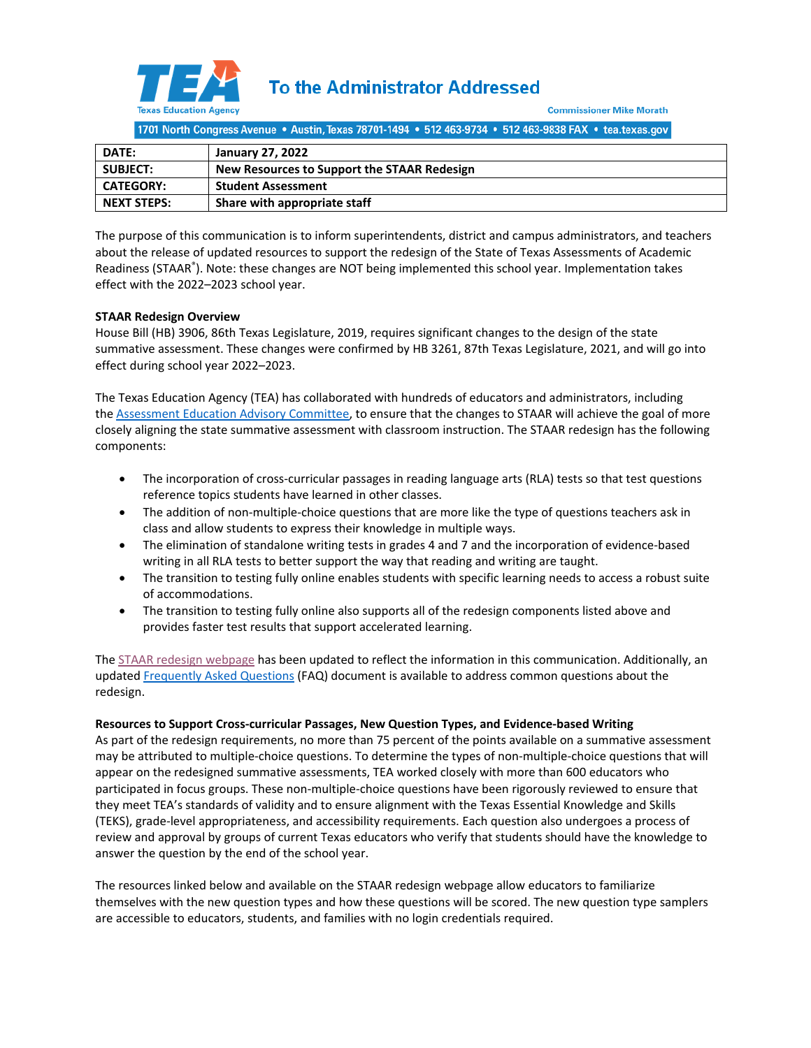

**To the Administrator Addressed** 

**Commissioner Mike Morath** 

1701 North Congress Avenue . Austin, Texas 78701-1494 . 512 463-9734 . 512 463-9838 FAX . tea.texas.gov

| <b>DATE:</b>       | January 27, 2022                            |
|--------------------|---------------------------------------------|
| <b>SUBJECT:</b>    | New Resources to Support the STAAR Redesign |
| <b>CATEGORY:</b>   | <b>Student Assessment</b>                   |
| <b>NEXT STEPS:</b> | Share with appropriate staff                |

The purpose of this communication is to inform superintendents, district and campus administrators, and teachers about the release of updated resources to support the redesign of the State of Texas Assessments of Academic Readiness (STAAR® ). Note: these changes are NOT being implemented this school year. Implementation takes effect with the 2022–2023 school year.

# **STAAR Redesign Overview**

House Bill (HB) 3906, 86th Texas Legislature, 2019, requires significant changes to the design of the state summative assessment. These changes were confirmed by HB 3261, 87th Texas Legislature, 2021, and will go into effect during school year 2022–2023.

The Texas Education Agency (TEA) has collaborated with hundreds of educators and administrators, including the [Assessment Education Advisory Committee,](https://tea.texas.gov/about-tea/government-relations-and-legal/government-relations/assessment-educator-advisory-committee) to ensure that the changes to STAAR will achieve the goal of more closely aligning the state summative assessment with classroom instruction. The STAAR redesign has the following components:

- The incorporation of cross-curricular passages in reading language arts (RLA) tests so that test questions reference topics students have learned in other classes.
- The addition of non-multiple-choice questions that are more like the type of questions teachers ask in class and allow students to express their knowledge in multiple ways.
- The elimination of standalone writing tests in grades 4 and 7 and the incorporation of evidence-based writing in all RLA tests to better support the way that reading and writing are taught.
- The transition to testing fully online enables students with specific learning needs to access a robust suite of accommodations.
- The transition to testing fully online also supports all of the redesign components listed above and provides faster test results that support accelerated learning.

Th[e STAAR redesign webpage](https://tea.texas.gov/student-assessment/assessment-initiatives/hb-3906/staar-redesign) has been updated to reflect the information in this communication. Additionally, an update[d Frequently Asked Questions](https://tea.texas.gov/sites/default/files/staar-redesign-faq.pdf) (FAQ) document is available to address common questions about the redesign.

#### **Resources to Support Cross-curricular Passages, New Question Types, and Evidence-based Writing**

As part of the redesign requirements, no more than 75 percent of the points available on a summative assessment may be attributed to multiple-choice questions. To determine the types of non-multiple-choice questions that will appear on the redesigned summative assessments, TEA worked closely with more than 600 educators who participated in focus groups. These non-multiple-choice questions have been rigorously reviewed to ensure that they meet TEA's standards of validity and to ensure alignment with the Texas Essential Knowledge and Skills (TEKS), grade-level appropriateness, and accessibility requirements. Each question also undergoes a process of review and approval by groups of current Texas educators who verify that students should have the knowledge to answer the question by the end of the school year.

The resources linked below and available on the STAAR redesign webpage allow educators to familiarize themselves with the new question types and how these questions will be scored. The new question type samplers are accessible to educators, students, and families with no login credentials required.